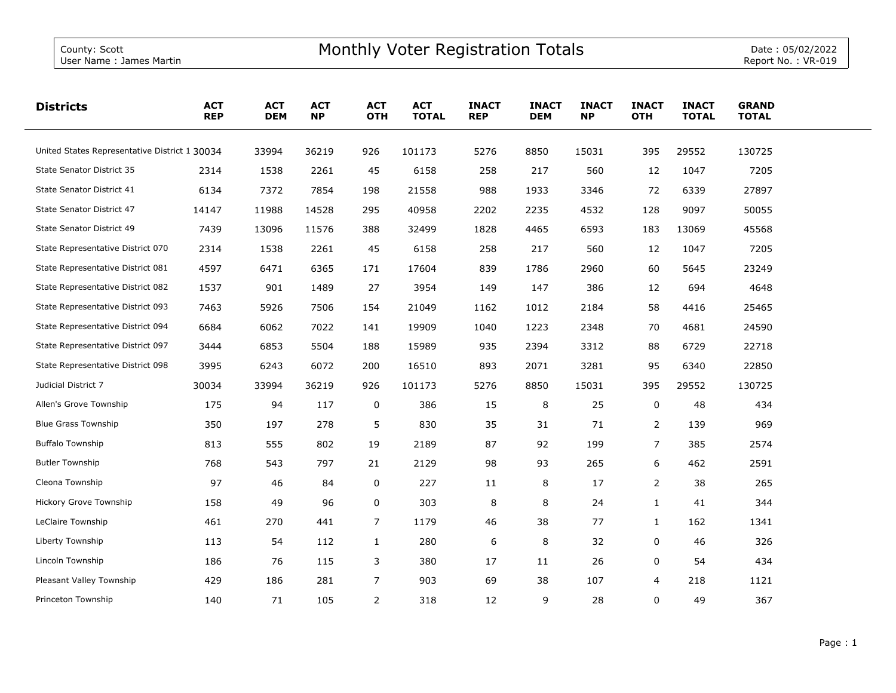| <b>Districts</b>                              | <b>ACT</b><br><b>REP</b> | <b>ACT</b><br><b>DEM</b> | <b>ACT</b><br><b>NP</b> | <b>ACT</b><br><b>OTH</b> | <b>ACT</b><br><b>TOTAL</b> | <b>INACT</b><br><b>REP</b> | <b>INACT</b><br><b>DEM</b> | <b>INACT</b><br><b>NP</b> | <b>INACT</b><br><b>OTH</b> | <b>INACT</b><br><b>TOTAL</b> | <b>GRAND</b><br><b>TOTAL</b> |  |
|-----------------------------------------------|--------------------------|--------------------------|-------------------------|--------------------------|----------------------------|----------------------------|----------------------------|---------------------------|----------------------------|------------------------------|------------------------------|--|
| United States Representative District 1 30034 |                          | 33994                    | 36219                   | 926                      | 101173                     | 5276                       | 8850                       | 15031                     | 395                        | 29552                        | 130725                       |  |
| <b>State Senator District 35</b>              | 2314                     | 1538                     | 2261                    | 45                       | 6158                       | 258                        | 217                        | 560                       | 12                         | 1047                         | 7205                         |  |
| State Senator District 41                     | 6134                     | 7372                     | 7854                    | 198                      | 21558                      | 988                        | 1933                       | 3346                      | 72                         | 6339                         | 27897                        |  |
| State Senator District 47                     | 14147                    | 11988                    | 14528                   | 295                      | 40958                      | 2202                       | 2235                       | 4532                      | 128                        | 9097                         | 50055                        |  |
| State Senator District 49                     | 7439                     | 13096                    | 11576                   | 388                      | 32499                      | 1828                       | 4465                       | 6593                      | 183                        | 13069                        | 45568                        |  |
| State Representative District 070             | 2314                     | 1538                     | 2261                    | 45                       | 6158                       | 258                        | 217                        | 560                       | 12                         | 1047                         | 7205                         |  |
| State Representative District 081             | 4597                     | 6471                     | 6365                    | 171                      | 17604                      | 839                        | 1786                       | 2960                      | 60                         | 5645                         | 23249                        |  |
| State Representative District 082             | 1537                     | 901                      | 1489                    | 27                       | 3954                       | 149                        | 147                        | 386                       | 12                         | 694                          | 4648                         |  |
| State Representative District 093             | 7463                     | 5926                     | 7506                    | 154                      | 21049                      | 1162                       | 1012                       | 2184                      | 58                         | 4416                         | 25465                        |  |
| State Representative District 094             | 6684                     | 6062                     | 7022                    | 141                      | 19909                      | 1040                       | 1223                       | 2348                      | 70                         | 4681                         | 24590                        |  |
| State Representative District 097             | 3444                     | 6853                     | 5504                    | 188                      | 15989                      | 935                        | 2394                       | 3312                      | 88                         | 6729                         | 22718                        |  |
| State Representative District 098             | 3995                     | 6243                     | 6072                    | 200                      | 16510                      | 893                        | 2071                       | 3281                      | 95                         | 6340                         | 22850                        |  |
| Judicial District 7                           | 30034                    | 33994                    | 36219                   | 926                      | 101173                     | 5276                       | 8850                       | 15031                     | 395                        | 29552                        | 130725                       |  |
| Allen's Grove Township                        | 175                      | 94                       | 117                     | 0                        | 386                        | 15                         | 8                          | 25                        | 0                          | 48                           | 434                          |  |
| <b>Blue Grass Township</b>                    | 350                      | 197                      | 278                     | 5                        | 830                        | 35                         | 31                         | 71                        | $\overline{2}$             | 139                          | 969                          |  |
| <b>Buffalo Township</b>                       | 813                      | 555                      | 802                     | 19                       | 2189                       | 87                         | 92                         | 199                       | 7                          | 385                          | 2574                         |  |
| <b>Butler Township</b>                        | 768                      | 543                      | 797                     | 21                       | 2129                       | 98                         | 93                         | 265                       | 6                          | 462                          | 2591                         |  |
| Cleona Township                               | 97                       | 46                       | 84                      | 0                        | 227                        | 11                         | 8                          | 17                        | $\overline{2}$             | 38                           | 265                          |  |
| Hickory Grove Township                        | 158                      | 49                       | 96                      | 0                        | 303                        | 8                          | 8                          | 24                        | $\mathbf{1}$               | 41                           | 344                          |  |
| LeClaire Township                             | 461                      | 270                      | 441                     | 7                        | 1179                       | 46                         | 38                         | 77                        | $\mathbf{1}$               | 162                          | 1341                         |  |
| Liberty Township                              | 113                      | 54                       | 112                     | $\mathbf{1}$             | 280                        | 6                          | 8                          | 32                        | 0                          | 46                           | 326                          |  |
| Lincoln Township                              | 186                      | 76                       | 115                     | 3                        | 380                        | 17                         | 11                         | 26                        | 0                          | 54                           | 434                          |  |
| Pleasant Valley Township                      | 429                      | 186                      | 281                     | $\overline{7}$           | 903                        | 69                         | 38                         | 107                       | 4                          | 218                          | 1121                         |  |
| Princeton Township                            | 140                      | 71                       | 105                     | $\overline{2}$           | 318                        | 12                         | 9                          | 28                        | $\Omega$                   | 49                           | 367                          |  |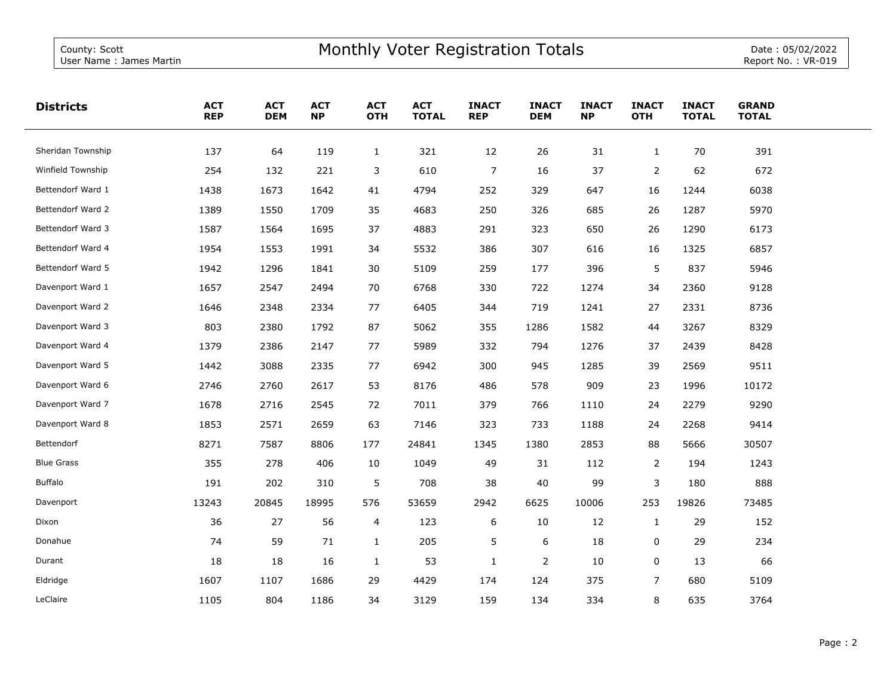| <b>Districts</b>  | <b>ACT</b><br><b>REP</b> | <b>ACT</b><br><b>DEM</b> | <b>ACT</b><br><b>NP</b> | <b>ACT</b><br><b>OTH</b> | <b>ACT</b><br><b>TOTAL</b> | <b>INACT</b><br><b>REP</b> | <b>INACT</b><br><b>DEM</b> | <b>INACT</b><br><b>NP</b> | <b>INACT</b><br><b>OTH</b> | <b>INACT</b><br><b>TOTAL</b> | <b>GRAND</b><br><b>TOTAL</b> |  |
|-------------------|--------------------------|--------------------------|-------------------------|--------------------------|----------------------------|----------------------------|----------------------------|---------------------------|----------------------------|------------------------------|------------------------------|--|
| Sheridan Township | 137                      | 64                       | 119                     | $\mathbf{1}$             | 321                        | 12                         | 26                         | 31                        | $\mathbf{1}$               | 70                           | 391                          |  |
| Winfield Township | 254                      | 132                      | 221                     | 3                        | 610                        | $\overline{7}$             | 16                         | 37                        | $\overline{2}$             | 62                           | 672                          |  |
| Bettendorf Ward 1 | 1438                     | 1673                     | 1642                    | 41                       | 4794                       | 252                        | 329                        | 647                       | 16                         | 1244                         | 6038                         |  |
| Bettendorf Ward 2 | 1389                     | 1550                     | 1709                    | 35                       | 4683                       | 250                        | 326                        | 685                       | 26                         | 1287                         | 5970                         |  |
| Bettendorf Ward 3 | 1587                     | 1564                     | 1695                    | 37                       | 4883                       | 291                        | 323                        | 650                       | 26                         | 1290                         | 6173                         |  |
| Bettendorf Ward 4 | 1954                     | 1553                     | 1991                    | 34                       | 5532                       | 386                        | 307                        | 616                       | 16                         | 1325                         | 6857                         |  |
| Bettendorf Ward 5 | 1942                     | 1296                     | 1841                    | 30                       | 5109                       | 259                        | 177                        | 396                       | 5                          | 837                          | 5946                         |  |
| Davenport Ward 1  | 1657                     | 2547                     | 2494                    | 70                       | 6768                       | 330                        | 722                        | 1274                      | 34                         | 2360                         | 9128                         |  |
| Davenport Ward 2  | 1646                     | 2348                     | 2334                    | 77                       | 6405                       | 344                        | 719                        | 1241                      | 27                         | 2331                         | 8736                         |  |
| Davenport Ward 3  | 803                      | 2380                     | 1792                    | 87                       | 5062                       | 355                        | 1286                       | 1582                      | 44                         | 3267                         | 8329                         |  |
| Davenport Ward 4  | 1379                     | 2386                     | 2147                    | 77                       | 5989                       | 332                        | 794                        | 1276                      | 37                         | 2439                         | 8428                         |  |
| Davenport Ward 5  | 1442                     | 3088                     | 2335                    | 77                       | 6942                       | 300                        | 945                        | 1285                      | 39                         | 2569                         | 9511                         |  |
| Davenport Ward 6  | 2746                     | 2760                     | 2617                    | 53                       | 8176                       | 486                        | 578                        | 909                       | 23                         | 1996                         | 10172                        |  |
| Davenport Ward 7  | 1678                     | 2716                     | 2545                    | 72                       | 7011                       | 379                        | 766                        | 1110                      | 24                         | 2279                         | 9290                         |  |
| Davenport Ward 8  | 1853                     | 2571                     | 2659                    | 63                       | 7146                       | 323                        | 733                        | 1188                      | 24                         | 2268                         | 9414                         |  |
| Bettendorf        | 8271                     | 7587                     | 8806                    | 177                      | 24841                      | 1345                       | 1380                       | 2853                      | 88                         | 5666                         | 30507                        |  |
| <b>Blue Grass</b> | 355                      | 278                      | 406                     | 10                       | 1049                       | 49                         | 31                         | 112                       | $\overline{2}$             | 194                          | 1243                         |  |
| <b>Buffalo</b>    | 191                      | 202                      | 310                     | 5                        | 708                        | 38                         | 40                         | 99                        | 3                          | 180                          | 888                          |  |
| Davenport         | 13243                    | 20845                    | 18995                   | 576                      | 53659                      | 2942                       | 6625                       | 10006                     | 253                        | 19826                        | 73485                        |  |
| Dixon             | 36                       | 27                       | 56                      | 4                        | 123                        | 6                          | 10                         | 12                        | $\mathbf{1}$               | 29                           | 152                          |  |
| Donahue           | 74                       | 59                       | 71                      | $\mathbf{1}$             | 205                        | 5                          | 6                          | 18                        | 0                          | 29                           | 234                          |  |
| Durant            | 18                       | 18                       | 16                      | $\mathbf{1}$             | 53                         | $\mathbf{1}$               | $\overline{2}$             | 10                        | 0                          | 13                           | 66                           |  |
| Eldridge          | 1607                     | 1107                     | 1686                    | 29                       | 4429                       | 174                        | 124                        | 375                       | $\overline{7}$             | 680                          | 5109                         |  |
| LeClaire          | 1105                     | 804                      | 1186                    | 34                       | 3129                       | 159                        | 134                        | 334                       | 8                          | 635                          | 3764                         |  |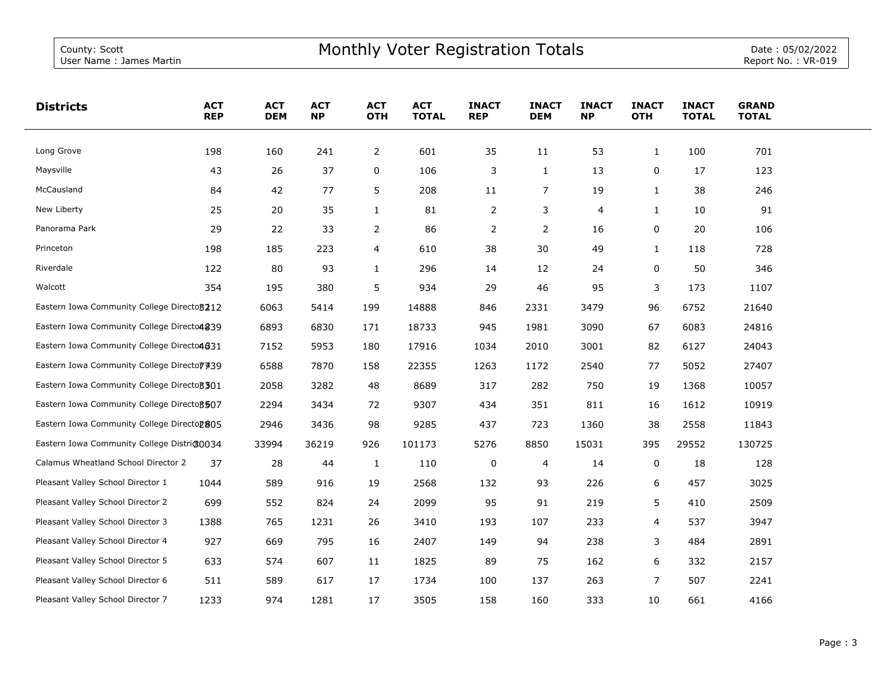| <b>Districts</b>                            | <b>ACT</b><br><b>REP</b> | <b>ACT</b><br><b>DEM</b> | <b>ACT</b><br><b>NP</b> | <b>ACT</b><br><b>OTH</b> | <b>ACT</b><br><b>TOTAL</b> | <b>INACT</b><br><b>REP</b> | <b>INACT</b><br><b>DEM</b> | <b>INACT</b><br><b>NP</b> | <b>INACT</b><br><b>OTH</b> | <b>INACT</b><br><b>TOTAL</b> | <b>GRAND</b><br><b>TOTAL</b> |  |
|---------------------------------------------|--------------------------|--------------------------|-------------------------|--------------------------|----------------------------|----------------------------|----------------------------|---------------------------|----------------------------|------------------------------|------------------------------|--|
| Long Grove                                  | 198                      | 160                      | 241                     | $\overline{2}$           | 601                        | 35                         | 11                         | 53                        | $\mathbf{1}$               | 100                          | 701                          |  |
| Maysville                                   | 43                       | 26                       | 37                      | 0                        | 106                        | 3                          | 1                          | 13                        | 0                          | 17                           | 123                          |  |
| McCausland                                  | 84                       | 42                       | 77                      | 5                        | 208                        | 11                         | 7                          | 19                        | $\mathbf{1}$               | 38                           | 246                          |  |
| New Liberty                                 | 25                       | 20                       | 35                      | $\mathbf{1}$             | 81                         | 2                          | 3                          | 4                         | $\mathbf{1}$               | 10                           | 91                           |  |
| Panorama Park                               | 29                       | 22                       | 33                      | 2                        | 86                         | 2                          | 2                          | 16                        | 0                          | 20                           | 106                          |  |
| Princeton                                   | 198                      | 185                      | 223                     | 4                        | 610                        | 38                         | 30                         | 49                        | $\mathbf{1}$               | 118                          | 728                          |  |
| Riverdale                                   | 122                      | 80                       | 93                      | 1                        | 296                        | 14                         | 12                         | 24                        | 0                          | 50                           | 346                          |  |
| Walcott                                     | 354                      | 195                      | 380                     | 5                        | 934                        | 29                         | 46                         | 95                        | 3                          | 173                          | 1107                         |  |
| Eastern Iowa Community College Directo 3212 |                          | 6063                     | 5414                    | 199                      | 14888                      | 846                        | 2331                       | 3479                      | 96                         | 6752                         | 21640                        |  |
| Eastern Iowa Community College Directo4839  |                          | 6893                     | 6830                    | 171                      | 18733                      | 945                        | 1981                       | 3090                      | 67                         | 6083                         | 24816                        |  |
| Eastern Iowa Community College Directo4631  |                          | 7152                     | 5953                    | 180                      | 17916                      | 1034                       | 2010                       | 3001                      | 82                         | 6127                         | 24043                        |  |
| Eastern Iowa Community College Directo 7439 |                          | 6588                     | 7870                    | 158                      | 22355                      | 1263                       | 1172                       | 2540                      | 77                         | 5052                         | 27407                        |  |
| Eastern Iowa Community College Directo 3301 |                          | 2058                     | 3282                    | 48                       | 8689                       | 317                        | 282                        | 750                       | 19                         | 1368                         | 10057                        |  |
| Eastern Iowa Community College Directo 3507 |                          | 2294                     | 3434                    | 72                       | 9307                       | 434                        | 351                        | 811                       | 16                         | 1612                         | 10919                        |  |
| Eastern Iowa Community College Directop805  |                          | 2946                     | 3436                    | 98                       | 9285                       | 437                        | 723                        | 1360                      | 38                         | 2558                         | 11843                        |  |
| Eastern Iowa Community College District0034 |                          | 33994                    | 36219                   | 926                      | 101173                     | 5276                       | 8850                       | 15031                     | 395                        | 29552                        | 130725                       |  |
| Calamus Wheatland School Director 2         | 37                       | 28                       | 44                      | $\mathbf{1}$             | 110                        | $\pmb{0}$                  | 4                          | 14                        | $\pmb{0}$                  | 18                           | 128                          |  |
| Pleasant Valley School Director 1           | 1044                     | 589                      | 916                     | 19                       | 2568                       | 132                        | 93                         | 226                       | 6                          | 457                          | 3025                         |  |
| Pleasant Valley School Director 2           | 699                      | 552                      | 824                     | 24                       | 2099                       | 95                         | 91                         | 219                       | 5                          | 410                          | 2509                         |  |
| Pleasant Valley School Director 3           | 1388                     | 765                      | 1231                    | 26                       | 3410                       | 193                        | 107                        | 233                       | 4                          | 537                          | 3947                         |  |
| Pleasant Valley School Director 4           | 927                      | 669                      | 795                     | 16                       | 2407                       | 149                        | 94                         | 238                       | 3                          | 484                          | 2891                         |  |
| Pleasant Valley School Director 5           | 633                      | 574                      | 607                     | 11                       | 1825                       | 89                         | 75                         | 162                       | 6                          | 332                          | 2157                         |  |
| Pleasant Valley School Director 6           | 511                      | 589                      | 617                     | 17                       | 1734                       | 100                        | 137                        | 263                       | $\overline{7}$             | 507                          | 2241                         |  |
| Pleasant Valley School Director 7           | 1233                     | 974                      | 1281                    | 17                       | 3505                       | 158                        | 160                        | 333                       | 10                         | 661                          | 4166                         |  |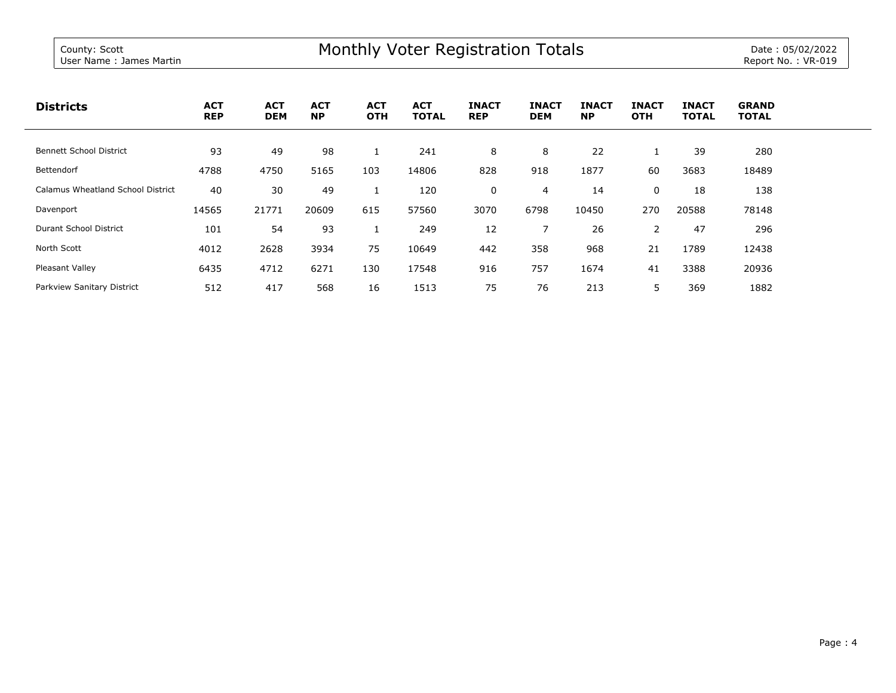| <b>Districts</b>                  | <b>ACT</b><br><b>REP</b> | <b>ACT</b><br><b>DEM</b> | <b>ACT</b><br><b>NP</b> | <b>ACT</b><br><b>OTH</b> | <b>ACT</b><br><b>TOTAL</b> | <b>INACT</b><br><b>REP</b> | <b>INACT</b><br><b>DEM</b> | <b>INACT</b><br><b>NP</b> | <b>INACT</b><br><b>OTH</b> | <b>INACT</b><br><b>TOTAL</b> | <b>GRAND</b><br><b>TOTAL</b> |
|-----------------------------------|--------------------------|--------------------------|-------------------------|--------------------------|----------------------------|----------------------------|----------------------------|---------------------------|----------------------------|------------------------------|------------------------------|
|                                   |                          |                          |                         |                          |                            |                            |                            |                           |                            |                              |                              |
| <b>Bennett School District</b>    | 93                       | 49                       | 98                      |                          | 241                        | 8                          | 8                          | 22                        | щ                          | 39                           | 280                          |
| Bettendorf                        | 4788                     | 4750                     | 5165                    | 103                      | 14806                      | 828                        | 918                        | 1877                      | 60                         | 3683                         | 18489                        |
| Calamus Wheatland School District | 40                       | 30                       | 49                      |                          | 120                        | 0                          | 4                          | 14                        | 0                          | 18                           | 138                          |
| Davenport                         | 14565                    | 21771                    | 20609                   | 615                      | 57560                      | 3070                       | 6798                       | 10450                     | 270                        | 20588                        | 78148                        |
| <b>Durant School District</b>     | 101                      | 54                       | 93                      |                          | 249                        | 12                         | $\overline{\phantom{a}}$   | 26                        | $\overline{2}$             | 47                           | 296                          |
| North Scott                       | 4012                     | 2628                     | 3934                    | 75                       | 10649                      | 442                        | 358                        | 968                       | 21                         | 1789                         | 12438                        |
| Pleasant Valley                   | 6435                     | 4712                     | 6271                    | 130                      | 17548                      | 916                        | 757                        | 1674                      | 41                         | 3388                         | 20936                        |
| Parkview Sanitary District        | 512                      | 417                      | 568                     | 16                       | 1513                       | 75                         | 76                         | 213                       | 5                          | 369                          | 1882                         |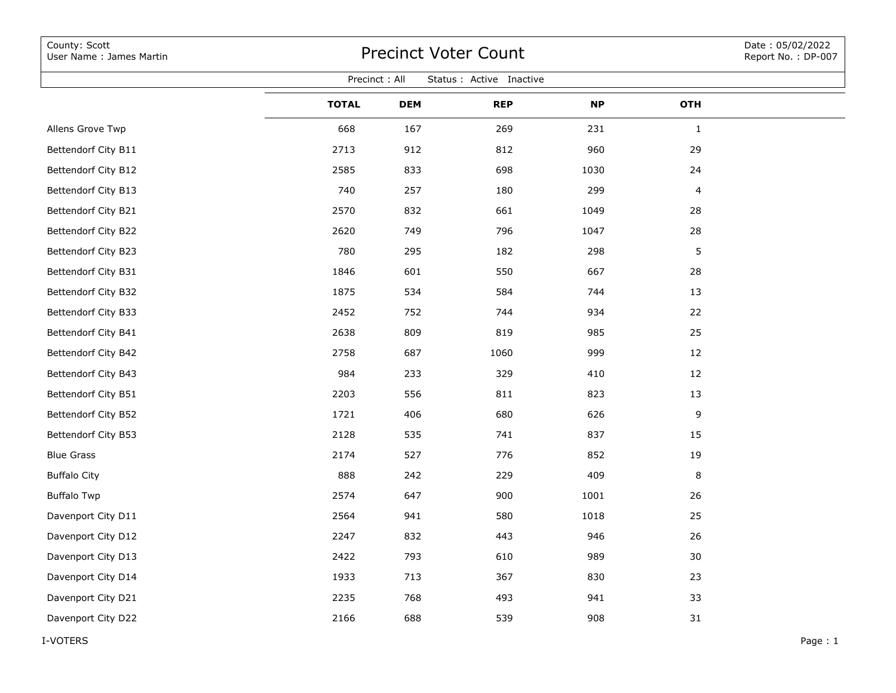| County: Scott<br>User Name: James Martin  | <b>Precinct Voter Count</b> |            |            |           |              |  |  |  |  |  |  |  |
|-------------------------------------------|-----------------------------|------------|------------|-----------|--------------|--|--|--|--|--|--|--|
| Precinct: All<br>Status : Active Inactive |                             |            |            |           |              |  |  |  |  |  |  |  |
|                                           | <b>TOTAL</b>                | <b>DEM</b> | <b>REP</b> | <b>NP</b> | <b>OTH</b>   |  |  |  |  |  |  |  |
| Allens Grove Twp                          | 668                         | 167        | 269        | 231       | $\mathbf{1}$ |  |  |  |  |  |  |  |
| Bettendorf City B11                       | 2713                        | 912        | 812        | 960       | 29           |  |  |  |  |  |  |  |
| Bettendorf City B12                       | 2585                        | 833        | 698        | 1030      | 24           |  |  |  |  |  |  |  |
| Bettendorf City B13                       | 740                         | 257        | 180        | 299       | 4            |  |  |  |  |  |  |  |
| Bettendorf City B21                       | 2570                        | 832        | 661        | 1049      | 28           |  |  |  |  |  |  |  |
| Bettendorf City B22                       | 2620                        | 749        | 796        | 1047      | 28           |  |  |  |  |  |  |  |
| Bettendorf City B23                       | 780                         | 295        | 182        | 298       | 5            |  |  |  |  |  |  |  |
| Bettendorf City B31                       | 1846                        | 601        | 550        | 667       | 28           |  |  |  |  |  |  |  |
| Bettendorf City B32                       | 1875                        | 534        | 584        | 744       | 13           |  |  |  |  |  |  |  |
| Bettendorf City B33                       | 2452                        | 752        | 744        | 934       | 22           |  |  |  |  |  |  |  |
| Bettendorf City B41                       | 2638                        | 809        | 819        | 985       | 25           |  |  |  |  |  |  |  |
| Bettendorf City B42                       | 2758                        | 687        | 1060       | 999       | 12           |  |  |  |  |  |  |  |
| Bettendorf City B43                       | 984                         | 233        | 329        | 410       | 12           |  |  |  |  |  |  |  |
| Bettendorf City B51                       | 2203                        | 556        | 811        | 823       | 13           |  |  |  |  |  |  |  |
| Bettendorf City B52                       | 1721                        | 406        | 680        | 626       | 9            |  |  |  |  |  |  |  |
| Bettendorf City B53                       | 2128                        | 535        | 741        | 837       | 15           |  |  |  |  |  |  |  |
| <b>Blue Grass</b>                         | 2174                        | 527        | 776        | 852       | 19           |  |  |  |  |  |  |  |
| <b>Buffalo City</b>                       | 888                         | 242        | 229        | 409       | 8            |  |  |  |  |  |  |  |
| <b>Buffalo Twp</b>                        | 2574                        | 647        | 900        | 1001      | 26           |  |  |  |  |  |  |  |
| Davenport City D11                        | 2564                        | 941        | 580        | 1018      | 25           |  |  |  |  |  |  |  |
| Davenport City D12                        | 2247                        | 832        | 443        | 946       | 26           |  |  |  |  |  |  |  |
| Davenport City D13                        | 2422                        | 793        | 610        | 989       | 30           |  |  |  |  |  |  |  |
| Davenport City D14                        | 1933                        | 713        | 367        | 830       | 23           |  |  |  |  |  |  |  |
| Davenport City D21                        | 2235                        | 768        | 493        | 941       | 33           |  |  |  |  |  |  |  |
| Davenport City D22                        | 2166                        | 688        | 539        | 908       | 31           |  |  |  |  |  |  |  |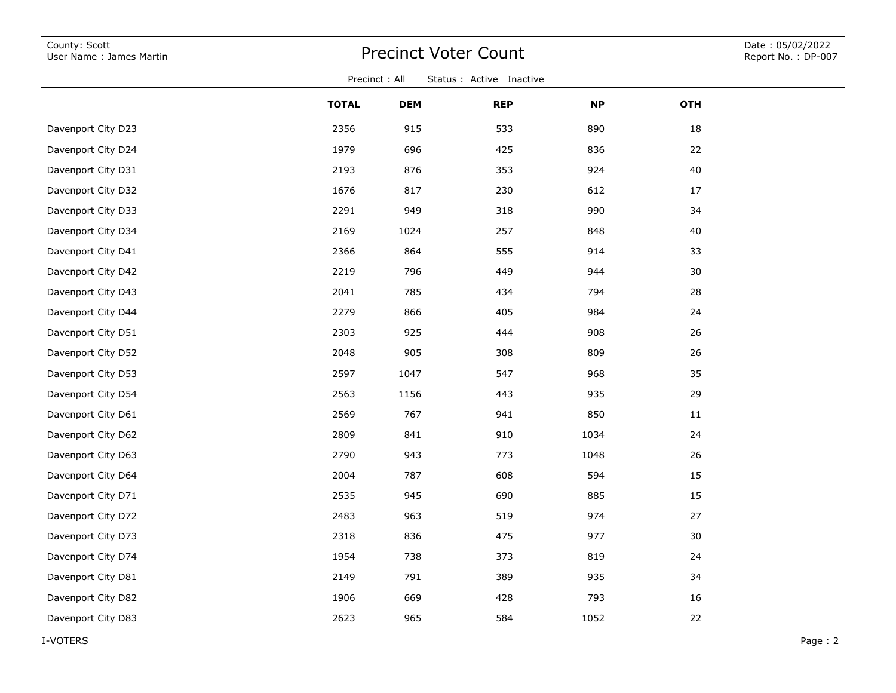| County: Scott<br>User Name: James Martin  | <b>Precinct Voter Count</b> |            |            |           |     |  |  |  |  |  |  |
|-------------------------------------------|-----------------------------|------------|------------|-----------|-----|--|--|--|--|--|--|
| Precinct: All<br>Status : Active Inactive |                             |            |            |           |     |  |  |  |  |  |  |
|                                           | <b>TOTAL</b>                | <b>DEM</b> | <b>REP</b> | <b>NP</b> | OTH |  |  |  |  |  |  |
| Davenport City D23                        | 2356                        | 915        | 533        | 890       | 18  |  |  |  |  |  |  |
| Davenport City D24                        | 1979                        | 696        | 425        | 836       | 22  |  |  |  |  |  |  |
| Davenport City D31                        | 2193                        | 876        | 353        | 924       | 40  |  |  |  |  |  |  |
| Davenport City D32                        | 1676                        | 817        | 230        | 612       | 17  |  |  |  |  |  |  |
| Davenport City D33                        | 2291                        | 949        | 318        | 990       | 34  |  |  |  |  |  |  |
| Davenport City D34                        | 2169                        | 1024       | 257        | 848       | 40  |  |  |  |  |  |  |
| Davenport City D41                        | 2366                        | 864        | 555        | 914       | 33  |  |  |  |  |  |  |
| Davenport City D42                        | 2219                        | 796        | 449        | 944       | 30  |  |  |  |  |  |  |
| Davenport City D43                        | 2041                        | 785        | 434        | 794       | 28  |  |  |  |  |  |  |
| Davenport City D44                        | 2279                        | 866        | 405        | 984       | 24  |  |  |  |  |  |  |
| Davenport City D51                        | 2303                        | 925        | 444        | 908       | 26  |  |  |  |  |  |  |
| Davenport City D52                        | 2048                        | 905        | 308        | 809       | 26  |  |  |  |  |  |  |
| Davenport City D53                        | 2597                        | 1047       | 547        | 968       | 35  |  |  |  |  |  |  |
| Davenport City D54                        | 2563                        | 1156       | 443        | 935       | 29  |  |  |  |  |  |  |
| Davenport City D61                        | 2569                        | 767        | 941        | 850       | 11  |  |  |  |  |  |  |
| Davenport City D62                        | 2809                        | 841        | 910        | 1034      | 24  |  |  |  |  |  |  |
| Davenport City D63                        | 2790                        | 943        | 773        | 1048      | 26  |  |  |  |  |  |  |
| Davenport City D64                        | 2004                        | 787        | 608        | 594       | 15  |  |  |  |  |  |  |
| Davenport City D71                        | 2535                        | 945        | 690        | 885       | 15  |  |  |  |  |  |  |
| Davenport City D72                        | 2483                        | 963        | 519        | 974       | 27  |  |  |  |  |  |  |
| Davenport City D73                        | 2318                        | 836        | 475        | 977       | 30  |  |  |  |  |  |  |
| Davenport City D74                        | 1954                        | 738        | 373        | 819       | 24  |  |  |  |  |  |  |
| Davenport City D81                        | 2149                        | 791        | 389        | 935       | 34  |  |  |  |  |  |  |
| Davenport City D82                        | 1906                        | 669        | 428        | 793       | 16  |  |  |  |  |  |  |
| Davenport City D83                        | 2623                        | 965        | 584        | 1052      | 22  |  |  |  |  |  |  |
|                                           |                             |            |            |           |     |  |  |  |  |  |  |